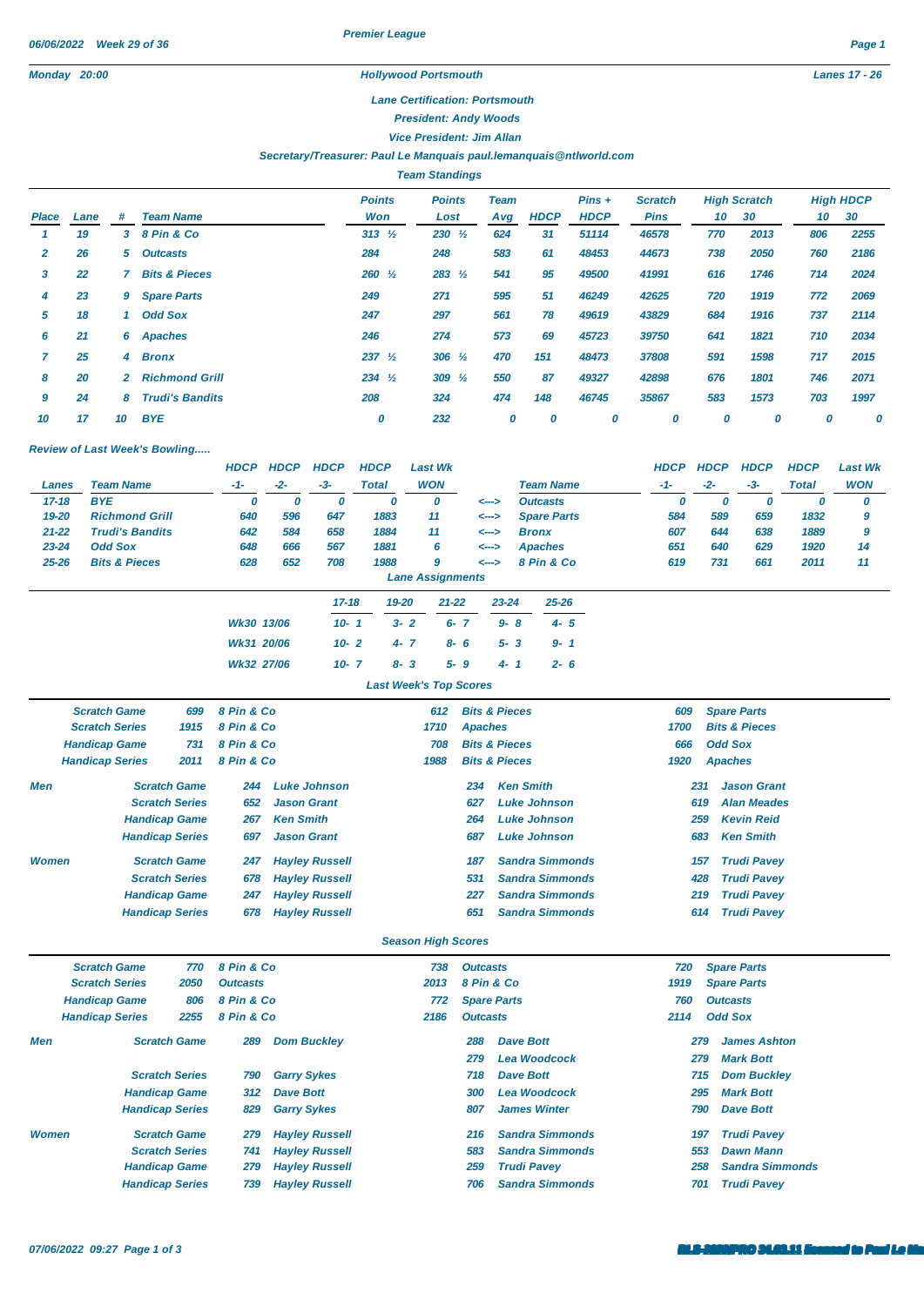*Premier League*

# *Monday 20:00 Hollywood Portsmouth Lanes 17 - 26*

#### *Lane Certification: Portsmouth*

*President: Andy Woods*

*Vice President: Jim Allan*

#### *Secretary/Treasurer: Paul Le Manquais [paul.lemanquais@ntlworld.com](mailto:paul.lemanquais@ntlworld.com)*

|       |      |              |                          |                      | <b>Team Standings</b> |                    |             |                         |                               |                           |      |     |                        |
|-------|------|--------------|--------------------------|----------------------|-----------------------|--------------------|-------------|-------------------------|-------------------------------|---------------------------|------|-----|------------------------|
| Place | Lane | #            | <b>Team Name</b>         | <b>Points</b><br>Won | <b>Points</b><br>Lost | <b>Team</b><br>Avg | <b>HDCP</b> | $Pins +$<br><b>HDCP</b> | <b>Scratch</b><br><b>Pins</b> | <b>High Scratch</b><br>10 | 30   | 10  | <b>High HDCP</b><br>30 |
|       | 19   | 3            | 8 Pin & Co               | $313 \frac{1}{2}$    | $230 \frac{1}{2}$     | 624                | 31          | 51114                   | 46578                         | 770                       | 2013 | 806 | 2255                   |
|       | 26   | 5            | <b>Outcasts</b>          | 284                  | 248                   | 583                | 61          | 48453                   | 44673                         | 738                       | 2050 | 760 | 2186                   |
| 3     | 22   |              | <b>Bits &amp; Pieces</b> | $260 \frac{1}{2}$    | $283 \frac{1}{2}$     | 541                | 95          | 49500                   | 41991                         | 616                       | 1746 | 714 | 2024                   |
| 4     | 23   | 9            | <b>Spare Parts</b>       | 249                  | 271                   | 595                | 51          | 46249                   | 42625                         | 720                       | 1919 | 772 | 2069                   |
| 5     | 18   | 1            | <b>Odd Sox</b>           | 247                  | 297                   | 561                | 78          | 49619                   | 43829                         | 684                       | 1916 | 737 | 2114                   |
| 6     | 21   |              | 6 Apaches                | 246                  | 274                   | 573                | 69          | 45723                   | 39750                         | 641                       | 1821 | 710 | 2034                   |
|       | 25   | 4            | <b>Bronx</b>             | 237 $\frac{1}{2}$    | $306 \frac{1}{2}$     | 470                | 151         | 48473                   | 37808                         | 591                       | 1598 | 717 | 2015                   |
| 8     | 20   | $\mathbf{2}$ | <b>Richmond Grill</b>    | $234 \frac{1}{2}$    | 309 $\frac{1}{2}$     | 550                | 87          | 49327                   | 42898                         | 676                       | 1801 | 746 | 2071                   |
| 9     | 24   | 8            | <b>Trudi's Bandits</b>   | 208                  | 324                   | 474                | 148         | 46745                   | 35867                         | 583                       | 1573 | 703 | 1997                   |
| 10    | 17   | 10           | <b>BYE</b>               | 0                    | 232                   | 0                  | 0           | 0                       | 0                             | 0                         | 0    | 0   | 0                      |

# *Review of Last Week's Bowling.....*

|                        |                           |      | <b>HDCP</b> | <b>HDCP</b> | <b>HDCP</b> | <b>HDCP</b>  | <b>Last Wk</b>                |                          |                          |                    |           | <b>HDCP</b> | <b>HDCP</b>    | <b>HDCP</b>              | <b>HDCP</b>  | <b>Last Wk</b> |
|------------------------|---------------------------|------|-------------|-------------|-------------|--------------|-------------------------------|--------------------------|--------------------------|--------------------|-----------|-------------|----------------|--------------------------|--------------|----------------|
|                        | <b>Team Name</b><br>Lanes |      | $-1-$       | $-2-$       | $-3-$       | <b>Total</b> | <b>WON</b>                    |                          |                          | <b>Team Name</b>   |           | $-1-$       | $-2-$          | $-3-$                    | <b>Total</b> | <b>WON</b>     |
| $17 - 18$              | <b>BYE</b>                |      | 0           | 0           | 0           | 0            | O                             |                          | $\leftarrow$             | <b>Outcasts</b>    |           | 0           | 0              | 0                        | 0            | 0              |
| 19-20                  | <b>Richmond Grill</b>     |      | 640         | 596         | 647         | 1883         | 11                            |                          | <-->                     | <b>Spare Parts</b> |           | 584         | 589            | 659                      | 1832         | 9              |
| $21 - 22$              | <b>Trudi's Bandits</b>    |      | 642         | 584         | 658         | 1884         | 11                            |                          | <-->                     | <b>Bronx</b>       |           | 607         | 644            | 638                      | 1889         | 9              |
| $23 - 24$              | <b>Odd Sox</b>            |      | 648         | 666         | 567         | 1881         | 6                             |                          | <-->                     | <b>Apaches</b>     |           | 651         | 640            | 629                      | 1920         | 14             |
| $25 - 26$              | <b>Bits &amp; Pieces</b>  |      | 628         | 652         | 708         | 1988         | 9                             |                          | $\leftarrow$             | 8 Pin & Co         |           | 619         | 731            | 661                      | 2011         | 11             |
|                        |                           |      |             |             |             |              | <b>Lane Assignments</b>       |                          |                          |                    |           |             |                |                          |              |                |
|                        |                           |      |             |             | $17 - 18$   | 19-20        | $21 - 22$                     |                          | $23 - 24$                |                    | $25 - 26$ |             |                |                          |              |                |
|                        |                           |      | Wk30 13/06  |             | $10 - 1$    |              | $3 - 2$                       | $6 - 7$                  | $9 - 8$                  |                    | $4 - 5$   |             |                |                          |              |                |
|                        |                           |      | Wk31 20/06  |             | $10 - 2$    |              | $4 - 7$                       | $8 - 6$                  | $5 - 3$                  |                    | $9 - 1$   |             |                |                          |              |                |
|                        |                           |      | Wk32 27/06  |             | $10 - 7$    |              | $8 - 3$                       | $5 - 9$                  | $4 - 1$                  |                    | $2 - 6$   |             |                |                          |              |                |
|                        |                           |      |             |             |             |              | <b>Last Week's Top Scores</b> |                          |                          |                    |           |             |                |                          |              |                |
|                        | <b>Scratch Game</b>       | 699  | 8 Pin & Co  |             |             |              | 612                           |                          | <b>Bits &amp; Pieces</b> |                    |           | 609         |                | <b>Spare Parts</b>       |              |                |
|                        | <b>Scratch Series</b>     | 1915 | 8 Pin & Co  |             |             |              | 1710                          |                          | <b>Apaches</b>           |                    |           | 1700        |                | <b>Bits &amp; Pieces</b> |              |                |
|                        | <b>Handicap Game</b>      | 731  | 8 Pin & Co  |             |             |              | 708                           |                          | <b>Bits &amp; Pieces</b> |                    |           | 666         | <b>Odd Sox</b> |                          |              |                |
| <b>Handicap Series</b> |                           | 2011 | 8 Pin & Co  |             |             |              | 1988                          | <b>Bits &amp; Pieces</b> |                          |                    |           | 1920        | <b>Apaches</b> |                          |              |                |

| Men          | <b>Scratch Game</b>    | 244 | <b>Luke Johnson</b>   | 234 | Ken Smith              | 231 | <b>Jason Grant</b> |
|--------------|------------------------|-----|-----------------------|-----|------------------------|-----|--------------------|
|              | <b>Scratch Series</b>  | 652 | <b>Jason Grant</b>    | 627 | Luke Johnson           | 619 | <b>Alan Meades</b> |
|              | <b>Handicap Game</b>   | 267 | <b>Ken Smith</b>      | 264 | Luke Johnson           | 259 | <b>Kevin Reid</b>  |
|              | <b>Handicap Series</b> | 697 | <b>Jason Grant</b>    | 687 | Luke Johnson           | 683 | <b>Ken Smith</b>   |
| <b>Women</b> | <b>Scratch Game</b>    | 247 | <b>Hayley Russell</b> | 187 | <b>Sandra Simmonds</b> | 157 | <b>Trudi Pavey</b> |
|              | <b>Scratch Series</b>  | 678 | <b>Hayley Russell</b> | 531 | <b>Sandra Simmonds</b> | 428 | <b>Trudi Pavey</b> |
|              | <b>Handicap Game</b>   | 247 | <b>Hayley Russell</b> | 227 | <b>Sandra Simmonds</b> | 219 | Trudi Pavey        |
|              | <b>Handicap Series</b> | 678 | <b>Hayley Russell</b> | 651 | <b>Sandra Simmonds</b> | 614 | <b>Trudi Pavey</b> |

# *Season High Scores*

|              | <b>Scratch Game</b><br>8 Pin & Co<br>770 |                        |                 |                       | 738  | <b>Outcasts</b>    |                        | 720  | <b>Spare Parts</b>     |
|--------------|------------------------------------------|------------------------|-----------------|-----------------------|------|--------------------|------------------------|------|------------------------|
|              | <b>Scratch Series</b>                    | 2050                   | <b>Outcasts</b> |                       | 2013 | 8 Pin & Co         |                        | 1919 | <b>Spare Parts</b>     |
|              | <b>Handicap Game</b>                     | 806                    | 8 Pin & Co      |                       | 772  | <b>Spare Parts</b> |                        | 760  | <b>Outcasts</b>        |
|              | <b>Handicap Series</b>                   | 2255                   | 8 Pin & Co      |                       | 2186 | <b>Outcasts</b>    |                        | 2114 | <b>Odd Sox</b>         |
| Men          |                                          | <b>Scratch Game</b>    | 289             | <b>Dom Buckley</b>    |      | 288                | <b>Dave Bott</b>       | 279  | <b>James Ashton</b>    |
|              |                                          |                        |                 |                       |      | 279                | <b>Lea Woodcock</b>    | 279  | <b>Mark Bott</b>       |
|              |                                          | <b>Scratch Series</b>  | 790             | <b>Garry Sykes</b>    |      | 718                | <b>Dave Bott</b>       | 715  | <b>Dom Buckley</b>     |
|              |                                          | <b>Handicap Game</b>   | 312             | <b>Dave Bott</b>      |      | 300                | <b>Lea Woodcock</b>    | 295  | <b>Mark Bott</b>       |
|              |                                          | <b>Handicap Series</b> | 829             | <b>Garry Sykes</b>    |      | 807                | <b>James Winter</b>    | 790  | <b>Dave Bott</b>       |
| <b>Women</b> |                                          | <b>Scratch Game</b>    | 279             | <b>Hayley Russell</b> |      | 216                | <b>Sandra Simmonds</b> | 197  | <b>Trudi Pavey</b>     |
|              |                                          | <b>Scratch Series</b>  | 741             | <b>Hayley Russell</b> |      | 583                | <b>Sandra Simmonds</b> | 553  | <b>Dawn Mann</b>       |
|              |                                          | <b>Handicap Game</b>   | 279             | <b>Hayley Russell</b> |      | 259                | <b>Trudi Pavey</b>     | 258  | <b>Sandra Simmonds</b> |
|              |                                          | <b>Handicap Series</b> | 739             | <b>Hayley Russell</b> |      | 706                | <b>Sandra Simmonds</b> | 701  | <b>Trudi Pavev</b>     |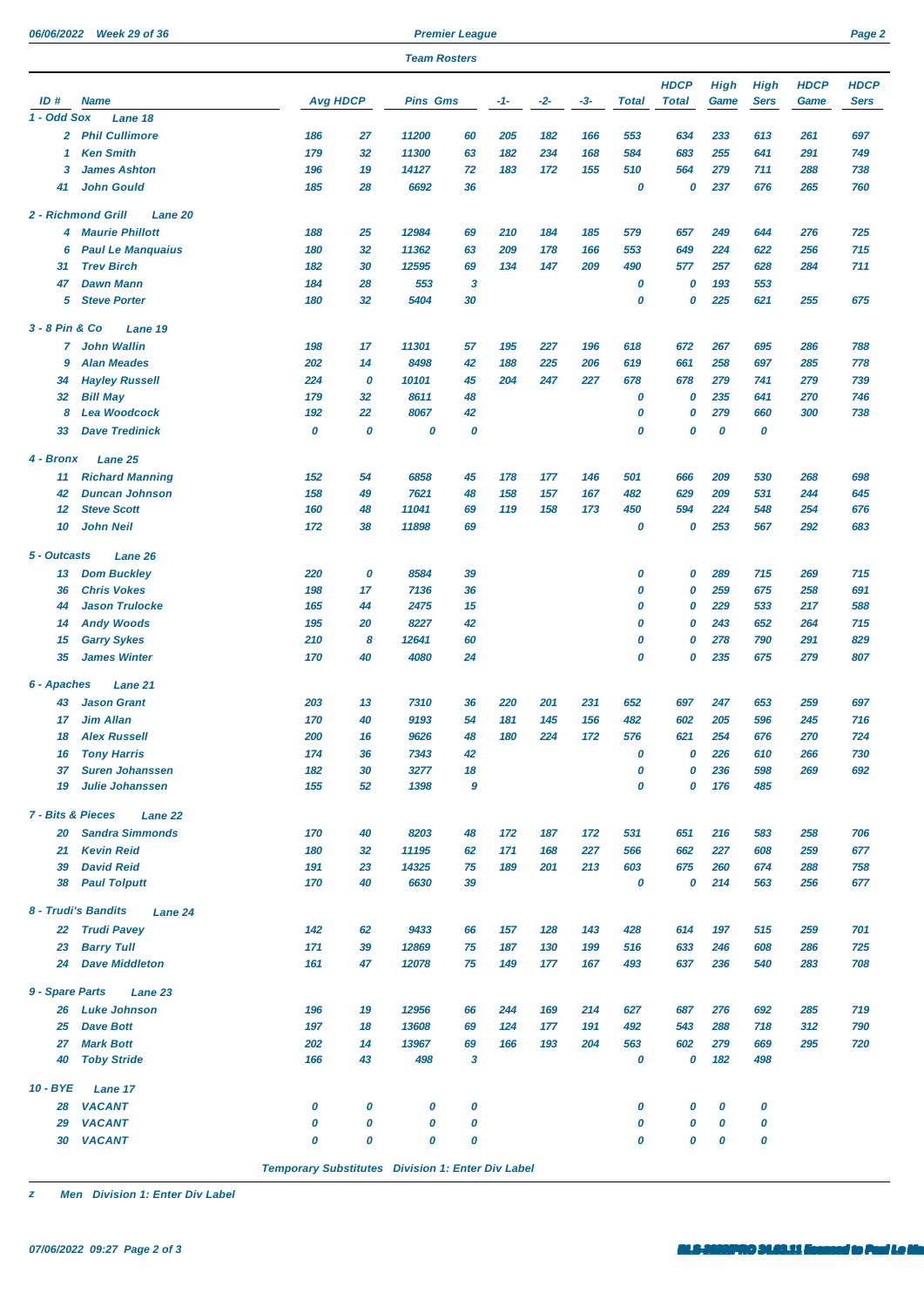*06/06/2022 Week 29 of 36 Premier League Page 2*

|                              |                                      | <b>Team Rosters</b>                                      |        |                 |        |     |       |     |              |              |             |             |             |             |
|------------------------------|--------------------------------------|----------------------------------------------------------|--------|-----------------|--------|-----|-------|-----|--------------|--------------|-------------|-------------|-------------|-------------|
|                              |                                      |                                                          |        |                 |        |     |       |     |              | <b>HDCP</b>  | <b>High</b> | High        | <b>HDCP</b> | <b>HDCP</b> |
| ID#                          | <b>Name</b>                          | <b>Avg HDCP</b>                                          |        | <b>Pins Gms</b> |        | -1- | $-2-$ | -3- | <b>Total</b> | <b>Total</b> | Game        | <b>Sers</b> | Game        | Sers        |
| 1 - Odd Sox                  | Lane 18                              |                                                          |        |                 |        |     |       |     |              |              |             |             |             |             |
|                              | 2 Phil Cullimore                     | 186                                                      | 27     | 11200           | 60     | 205 | 182   | 166 | 553          | 634          | 233         | 613         | 261         | 697         |
| 1                            | <b>Ken Smith</b>                     | 179                                                      | 32     | 11300           | 63     | 182 | 234   | 168 | 584          | 683          | 255         | 641         | 291         | 749         |
| 3                            | <b>James Ashton</b>                  | 196                                                      | 19     | 14127           | 72     | 183 | 172   | 155 | 510          | 564          | 279         | 711         | 288         | 738         |
| 41                           | <b>John Gould</b>                    | 185                                                      | 28     | 6692            | 36     |     |       |     | 0            | 0            | 237         | 676         | 265         | 760         |
|                              | 2 - Richmond Grill<br><b>Lane 20</b> |                                                          |        |                 |        |     |       |     |              |              |             |             |             |             |
| 4                            | <b>Maurie Phillott</b>               | 188                                                      | 25     | 12984           | 69     | 210 | 184   | 185 | 579          | 657          | 249         | 644         | 276         | 725         |
| 6                            | <b>Paul Le Manquaius</b>             | 180                                                      | 32     | 11362           | 63     | 209 | 178   | 166 | 553          | 649          | 224         | 622         | 256         | 715         |
| 31                           | <b>Trev Birch</b>                    | 182                                                      | 30     | 12595           | 69     | 134 | 147   | 209 | 490          | 577          | 257         | 628         | 284         | 711         |
| 47                           | <b>Dawn Mann</b>                     | 184                                                      | 28     | 553             | 3      |     |       |     | 0            | 0            | 193         | 553         |             |             |
| 5                            | <b>Steve Porter</b>                  | 180                                                      | 32     | 5404            | 30     |     |       |     | 0            | 0            | 225         | 621         | 255         | 675         |
| 3 - 8 Pin & Co               | Lane 19                              |                                                          |        |                 |        |     |       |     |              |              |             |             |             |             |
| 7                            | <b>John Wallin</b>                   | 198                                                      | 17     | 11301           | 57     | 195 | 227   | 196 | 618          | 672          | 267         | 695         | 286         | 788         |
| 9                            | <b>Alan Meades</b>                   | 202                                                      | 14     | 8498            | 42     | 188 | 225   | 206 | 619          | 661          | 258         | 697         | 285         | 778         |
| 34                           | <b>Hayley Russell</b>                | 224                                                      | 0      | 10101           | 45     | 204 | 247   | 227 | 678          | 678          | 279         | 741         | 279         | 739         |
| 32                           | <b>Bill May</b>                      | 179                                                      | 32     | 8611            | 48     |     |       |     | 0            | 0            | 235         | 641         | 270         | 746         |
| 8                            | <b>Lea Woodcock</b>                  | 192                                                      | 22     | 8067            | 42     |     |       |     | 0            | 0            | 279         | 660         | 300         | 738         |
| 33                           | <b>Dave Tredinick</b>                | 0                                                        | 0      | 0               | 0      |     |       |     | 0            | 0            | 0           | 0           |             |             |
| 4 - Bronx                    | Lane 25                              |                                                          |        |                 |        |     |       |     |              |              |             |             |             |             |
| 11                           | <b>Richard Manning</b>               | 152                                                      | 54     | 6858            | 45     | 178 | 177   | 146 | 501          | 666          | 209         | 530         | 268         | 698         |
| 42                           | <b>Duncan Johnson</b>                | 158                                                      | 49     | 7621            | 48     | 158 | 157   | 167 | 482          | 629          | 209         | 531         | 244         | 645         |
| $12 \,$                      | <b>Steve Scott</b>                   | 160                                                      | 48     | 11041           | 69     | 119 | 158   | 173 | 450          | 594          | 224         | 548         | 254         | 676         |
| 10                           | John Neil                            | 172                                                      | 38     | 11898           | 69     |     |       |     | 0            | 0            | 253         | 567         | 292         | 683         |
| 5 - Outcasts                 | Lane 26                              |                                                          |        |                 |        |     |       |     |              |              |             |             |             |             |
| 13                           | <b>Dom Buckley</b>                   | 220                                                      | 0      | 8584            | 39     |     |       |     | 0            | 0            | 289         | 715         | 269         | 715         |
| 36                           | <b>Chris Vokes</b>                   | 198                                                      | 17     | 7136            | 36     |     |       |     | 0            | 0            | 259         | 675         | 258         | 691         |
| 44                           | <b>Jason Trulocke</b>                | 165                                                      | 44     | 2475            | 15     |     |       |     | 0            | 0            | 229         | 533         | 217         | 588         |
| 14                           | <b>Andy Woods</b>                    | 195                                                      | 20     | 8227            | 42     |     |       |     | 0            | 0            | 243         | 652         | 264         | 715         |
| 15                           | <b>Garry Sykes</b>                   | 210                                                      | 8      | 12641           | 60     |     |       |     | 0            | 0            | 278         | 790         | 291         | 829         |
| 35                           | <b>James Winter</b>                  | 170                                                      | 40     | 4080            | 24     |     |       |     | 0            | 0            | 235         | 675         | 279         | 807         |
| 6 - Apaches                  | Lane 21                              |                                                          |        |                 |        |     |       |     |              |              |             |             |             |             |
| 43                           | <b>Jason Grant</b>                   | 203                                                      | 13     | 7310            | 36     | 220 | 201   | 231 | 652          | 697          | 247         | 653         | 259         | 697         |
| 17                           | Jim Allan                            | 170                                                      | 40     | 9193            | 54     | 181 | 145   | 156 | 482          | 602          | 205         | 596         | 245         | 716         |
| 18                           | <b>Alex Russell</b>                  | 200                                                      | 16     | 9626            | 48     | 180 | 224   | 172 | 576          | 621          | 254         | 676         | 270         | 724         |
| 16                           | <b>Tony Harris</b>                   | 174                                                      | 36     | 7343            | 42     |     |       |     | 0            | 0            | 226         | 610         | 266         | 730         |
| 37                           | <b>Suren Johanssen</b>               | 182                                                      | 30     | 3277            | 18     |     |       |     | 0            | 0            | 236         | 598         | 269         | 692         |
| 19                           | <b>Julie Johanssen</b>               | 155                                                      | 52     | 1398            | 9      |     |       |     | 0            | 0            | 176         | 485         |             |             |
| <b>7 - Bits &amp; Pieces</b> | Lane 22                              |                                                          |        |                 |        |     |       |     |              |              |             |             |             |             |
| 20                           | <b>Sandra Simmonds</b>               | 170                                                      | 40     | 8203            | 48     | 172 | 187   | 172 | 531          | 651          | 216         | 583         | 258         | 706         |
| 21                           | <b>Kevin Reid</b>                    | 180                                                      | 32     | 11195           | 62     | 171 | 168   | 227 | 566          | 662          | 227         | 608         | 259         | 677         |
| 39                           | <b>David Reid</b>                    | 191                                                      | 23     | 14325           | 75     | 189 | 201   | 213 | 603          | 675          | 260         | 674         | 288         | 758         |
| 38                           | <b>Paul Tolputt</b>                  | 170                                                      | 40     | 6630            | 39     |     |       |     | 0            | 0            | 214         | 563         | 256         | 677         |
|                              | 8 - Trudi's Bandits<br>Lane 24       |                                                          |        |                 |        |     |       |     |              |              |             |             |             |             |
| 22                           | <b>Trudi Pavey</b>                   | 142                                                      | 62     | 9433            | 66     | 157 | 128   | 143 | 428          | 614          | 197         | 515         | 259         | 701         |
| 23                           | <b>Barry Tull</b>                    | 171                                                      | 39     | 12869           | 75     | 187 | 130   | 199 | 516          | 633          | 246         | 608         | 286         | 725         |
| 24                           | <b>Dave Middleton</b>                | 161                                                      | 47     | 12078           | 75     | 149 | 177   | 167 | 493          | 637          | 236         | 540         | 283         | 708         |
| 9 - Spare Parts              | Lane 23                              |                                                          |        |                 |        |     |       |     |              |              |             |             |             |             |
| 26                           | <b>Luke Johnson</b>                  | 196                                                      | 19     | 12956           | 66     | 244 | 169   | 214 | 627          | 687          | 276         | 692         | 285         | 719         |
| 25                           | <b>Dave Bott</b>                     | 197                                                      | 18     | 13608           | 69     | 124 | 177   | 191 | 492          | 543          | 288         | 718         | 312         | 790         |
| 27                           | <b>Mark Bott</b>                     | 202                                                      | 14     | 13967           | 69     | 166 | 193   | 204 | 563          | 602          | 279         | 669         | 295         | 720         |
| 40                           | <b>Toby Stride</b>                   | 166                                                      | 43     | 498             | 3      |     |       |     | 0            | 0            | 182         | 498         |             |             |
|                              |                                      |                                                          |        |                 |        |     |       |     |              |              |             |             |             |             |
| $10 - BYE$                   | Lane 17                              |                                                          |        |                 |        |     |       |     |              |              |             |             |             |             |
| 28<br>29                     | <b>VACANT</b><br><b>VACANT</b>       | 0<br>0                                                   | 0<br>0 | 0<br>0          | 0<br>0 |     |       |     | 0<br>0       | 0<br>0       | 0<br>0      | 0<br>0      |             |             |
| 30                           | <b>VACANT</b>                        | 0                                                        | 0      | 0               | 0      |     |       |     | 0            | 0            | 0           | 0           |             |             |
|                              |                                      |                                                          |        |                 |        |     |       |     |              |              |             |             |             |             |
|                              |                                      | <b>Temporary Substitutes Division 1: Enter Div Label</b> |        |                 |        |     |       |     |              |              |             |             |             |             |

*z Men Division 1: Enter Div Label*